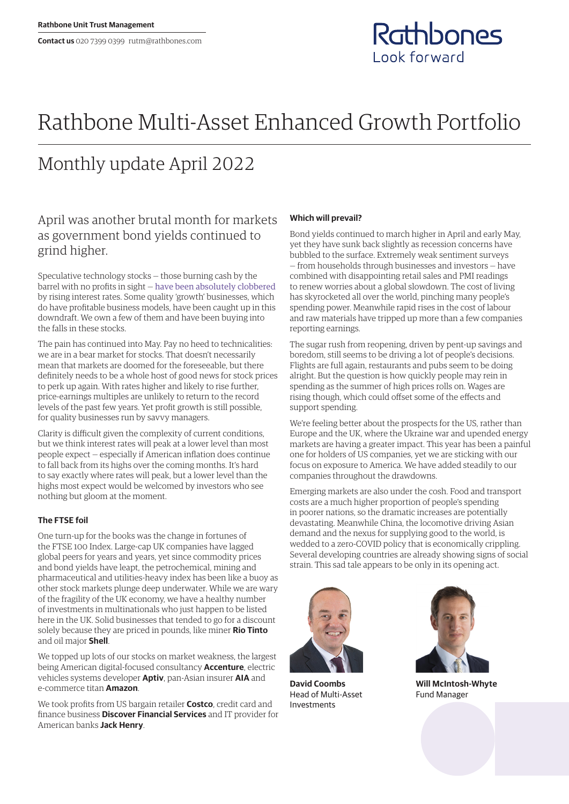

# Rathbone Multi-Asset Enhanced Growth Portfolio

## Monthly update April 2022

## April was another brutal month for markets as government bond yields continued to grind higher.

Speculative technology stocks — those burning cash by the barrel with no profits in sight — [have been absolutely clobbered](https://www.rathbones.com/blog/zombie-financing) by rising interest rates. Some quality 'growth' businesses, which do have profitable business models, have been caught up in this downdraft. We own a few of them and have been buying into the falls in these stocks.

The pain has continued into May. Pay no heed to technicalities: we are in a bear market for stocks. That doesn't necessarily mean that markets are doomed for the foreseeable, but there definitely needs to be a whole host of good news for stock prices to perk up again. With rates higher and likely to rise further, price‑earnings multiples are unlikely to return to the record levels of the past few years. Yet profit growth is still possible, for quality businesses run by savvy managers.

Clarity is difficult given the complexity of current conditions, but we think interest rates will peak at a lower level than most people expect — especially if American inflation does continue to fall back from its highs over the coming months. It's hard to say exactly where rates will peak, but a lower level than the highs most expect would be welcomed by investors who see nothing but gloom at the moment.

### **The FTSE foil**

One turn-up for the books was the change in fortunes of the FTSE 100 Index. Large-cap UK companies have lagged global peers for years and years, yet since commodity prices and bond yields have leapt, the petrochemical, mining and pharmaceutical and utilities-heavy index has been like a buoy as other stock markets plunge deep underwater. While we are wary of the fragility of the UK economy, we have a healthy number of investments in multinationals who just happen to be listed here in the UK. Solid businesses that tended to go for a discount solely because they are priced in pounds, like miner **Rio Tinto** and oil major **Shell**.

We topped up lots of our stocks on market weakness, the largest being American digital-focused consultancy **Accenture**, electric vehicles systems developer **Aptiv**, pan-Asian insurer **AIA** and e-commerce titan **Amazon**.

We took profits from US bargain retailer **Costco**, credit card and finance business **Discover Financial Services** and IT provider for American banks **Jack Henry**.

#### **Which will prevail?**

Bond yields continued to march higher in April and early May, yet they have sunk back slightly as recession concerns have bubbled to the surface. Extremely weak sentiment surveys — from households through businesses and investors — have combined with disappointing retail sales and PMI readings to renew worries about a global slowdown. The cost of living has skyrocketed all over the world, pinching many people's spending power. Meanwhile rapid rises in the cost of labour and raw materials have tripped up more than a few companies reporting earnings.

The sugar rush from reopening, driven by pent-up savings and boredom, still seems to be driving a lot of people's decisions. Flights are full again, restaurants and pubs seem to be doing alright. But the question is how quickly people may rein in spending as the summer of high prices rolls on. Wages are rising though, which could offset some of the effects and support spending.

We're feeling better about the prospects for the US, rather than Europe and the UK, where the Ukraine war and upended energy markets are having a greater impact. This year has been a painful one for holders of US companies, yet we are sticking with our focus on exposure to America. We have added steadily to our companies throughout the drawdowns.

Emerging markets are also under the cosh. Food and transport costs are a much higher proportion of people's spending in poorer nations, so the dramatic increases are potentially devastating. Meanwhile China, the locomotive driving Asian demand and the nexus for supplying good to the world, is wedded to a zero-COVID policy that is economically crippling. Several developing countries are already showing signs of social strain. This sad tale appears to be only in its opening act.



**David Coombs** Head of Multi-Asset Investments



**Will McIntosh-Whyte** Fund Manager